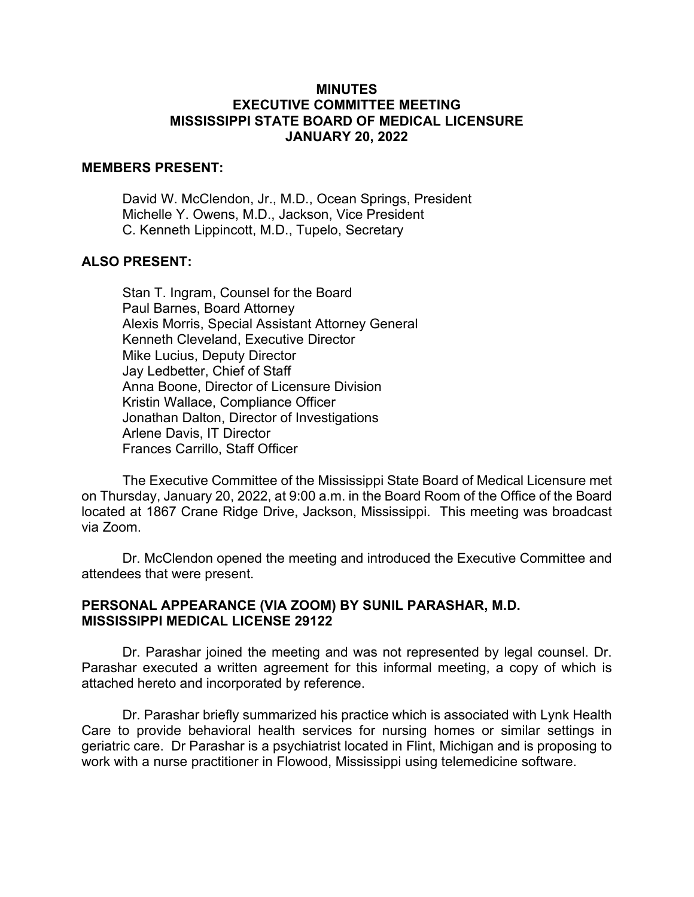## **MINUTES EXECUTIVE COMMITTEE MEETING MISSISSIPPI STATE BOARD OF MEDICAL LICENSURE JANUARY 20, 2022**

### **MEMBERS PRESENT:**

David W. McClendon, Jr., M.D., Ocean Springs, President Michelle Y. Owens, M.D., Jackson, Vice President C. Kenneth Lippincott, M.D., Tupelo, Secretary

## **ALSO PRESENT:**

Stan T. Ingram, Counsel for the Board Paul Barnes, Board Attorney Alexis Morris, Special Assistant Attorney General Kenneth Cleveland, Executive Director Mike Lucius, Deputy Director Jay Ledbetter, Chief of Staff Anna Boone, Director of Licensure Division Kristin Wallace, Compliance Officer Jonathan Dalton, Director of Investigations Arlene Davis, IT Director Frances Carrillo, Staff Officer

The Executive Committee of the Mississippi State Board of Medical Licensure met on Thursday, January 20, 2022, at 9:00 a.m. in the Board Room of the Office of the Board located at 1867 Crane Ridge Drive, Jackson, Mississippi. This meeting was broadcast via Zoom.

Dr. McClendon opened the meeting and introduced the Executive Committee and attendees that were present.

## **PERSONAL APPEARANCE (VIA ZOOM) BY SUNIL PARASHAR, M.D. MISSISSIPPI MEDICAL LICENSE 29122**

Dr. Parashar joined the meeting and was not represented by legal counsel. Dr. Parashar executed a written agreement for this informal meeting, a copy of which is attached hereto and incorporated by reference.

Dr. Parashar briefly summarized his practice which is associated with Lynk Health Care to provide behavioral health services for nursing homes or similar settings in geriatric care. Dr Parashar is a psychiatrist located in Flint, Michigan and is proposing to work with a nurse practitioner in Flowood, Mississippi using telemedicine software.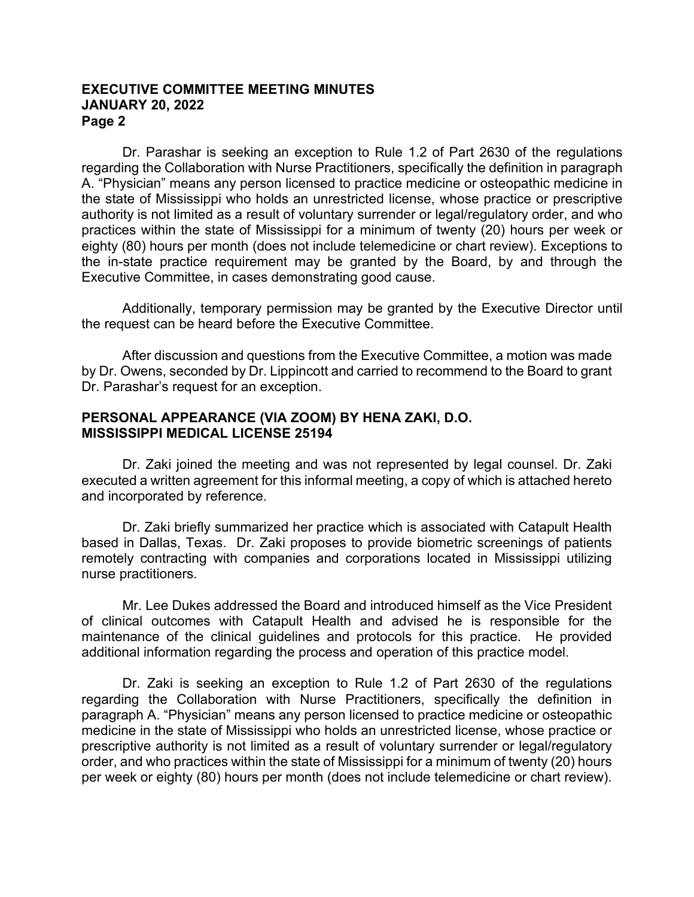## **EXECUTIVE COMMITTEE MEETING MINUTES JANUARY 20, 2022 Page 2**

Dr. Parashar is seeking an exception to Rule 1.2 of Part 2630 of the regulations regarding the Collaboration with Nurse Practitioners, specifically the definition in paragraph A. "Physician" means any person licensed to practice medicine or osteopathic medicine in the state of Mississippi who holds an unrestricted license, whose practice or prescriptive authority is not limited as a result of voluntary surrender or legal/regulatory order, and who practices within the state of Mississippi for a minimum of twenty (20) hours per week or eighty (80) hours per month (does not include telemedicine or chart review). Exceptions to the in-state practice requirement may be granted by the Board, by and through the Executive Committee, in cases demonstrating good cause.

Additionally, temporary permission may be granted by the Executive Director until the request can be heard before the Executive Committee.

After discussion and questions from the Executive Committee, a motion was made by Dr. Owens, seconded by Dr. Lippincott and carried to recommend to the Board to grant Dr. Parashar's request for an exception.

# **PERSONAL APPEARANCE (VIA ZOOM) BY HENA ZAKI, D.O. MISSISSIPPI MEDICAL LICENSE 25194**

Dr. Zaki joined the meeting and was not represented by legal counsel. Dr. Zaki executed a written agreement for this informal meeting, a copy of which is attached hereto and incorporated by reference.

Dr. Zaki briefly summarized her practice which is associated with Catapult Health based in Dallas, Texas. Dr. Zaki proposes to provide biometric screenings of patients remotely contracting with companies and corporations located in Mississippi utilizing nurse practitioners.

Mr. Lee Dukes addressed the Board and introduced himself as the Vice President of clinical outcomes with Catapult Health and advised he is responsible for the maintenance of the clinical guidelines and protocols for this practice. He provided additional information regarding the process and operation of this practice model.

Dr. Zaki is seeking an exception to Rule 1.2 of Part 2630 of the regulations regarding the Collaboration with Nurse Practitioners, specifically the definition in paragraph A. "Physician" means any person licensed to practice medicine or osteopathic medicine in the state of Mississippi who holds an unrestricted license, whose practice or prescriptive authority is not limited as a result of voluntary surrender or legal/regulatory order, and who practices within the state of Mississippi for a minimum of twenty (20) hours per week or eighty (80) hours per month (does not include telemedicine or chart review).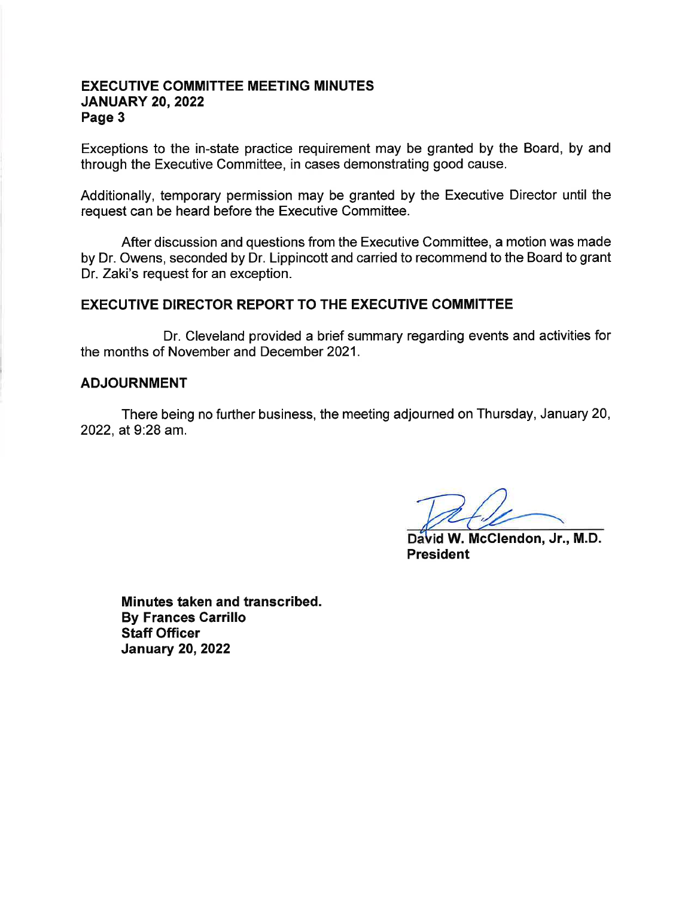## **EXECUTIVE COMMITTEE MEETING MINUTES JANUARY 20, 2022** Page 3

Exceptions to the in-state practice requirement may be granted by the Board, by and through the Executive Committee, in cases demonstrating good cause.

Additionally, temporary permission may be granted by the Executive Director until the request can be heard before the Executive Committee.

After discussion and questions from the Executive Committee, a motion was made by Dr. Owens, seconded by Dr. Lippincott and carried to recommend to the Board to grant Dr. Zaki's request for an exception.

## **EXECUTIVE DIRECTOR REPORT TO THE EXECUTIVE COMMITTEE**

Dr. Cleveland provided a brief summary regarding events and activities for the months of November and December 2021.

### **ADJOURNMENT**

There being no further business, the meeting adjourned on Thursday, January 20, 2022, at 9:28 am.

David W. McClendon, Jr., M.D. **President** 

Minutes taken and transcribed. **By Frances Carrillo Staff Officer January 20, 2022**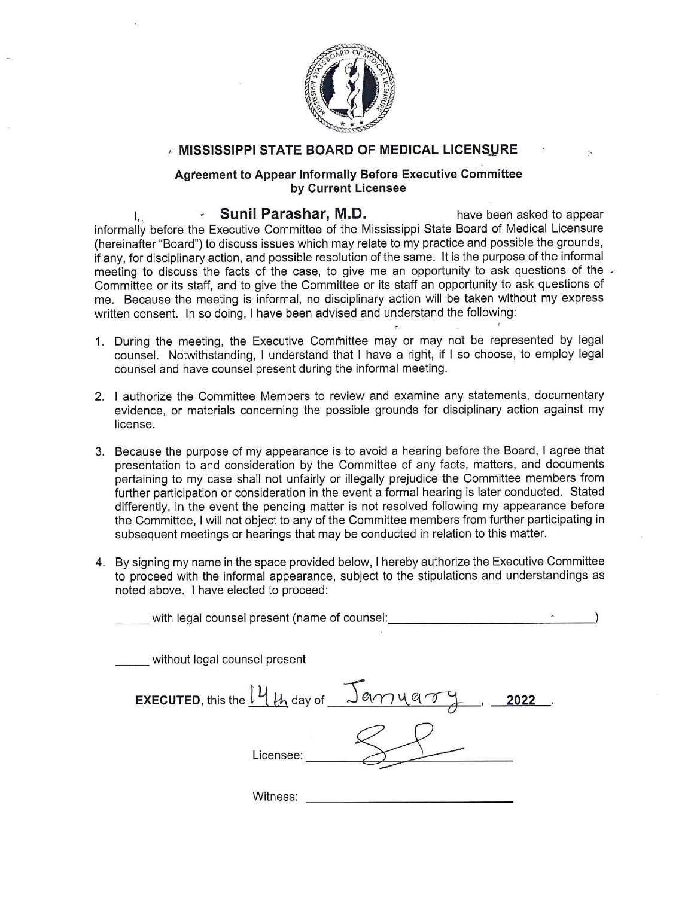

## MISSISSIPPI STATE BOARD OF MEDICAL LICENSURE

#### Agreement to Appear Informally Before Executive Committee by Current Licensee

Sunil Parashar, M.D. have been asked to appear Ι. informally before the Executive Committee of the Mississippi State Board of Medical Licensure (hereinafter "Board") to discuss issues which may relate to my practice and possible the grounds. if any, for disciplinary action, and possible resolution of the same. It is the purpose of the informal meeting to discuss the facts of the case, to give me an opportunity to ask questions of the Committee or its staff, and to give the Committee or its staff an opportunity to ask questions of me. Because the meeting is informal, no disciplinary action will be taken without my express written consent. In so doing, I have been advised and understand the following:

- 1. During the meeting, the Executive Committee may or may not be represented by legal counsel. Notwithstanding, I understand that I have a right, if I so choose, to employ legal counsel and have counsel present during the informal meeting.
- 2. I authorize the Committee Members to review and examine any statements, documentary evidence, or materials concerning the possible grounds for disciplinary action against my license.
- 3. Because the purpose of my appearance is to avoid a hearing before the Board, I agree that presentation to and consideration by the Committee of any facts, matters, and documents pertaining to my case shall not unfairly or illegally prejudice the Committee members from further participation or consideration in the event a formal hearing is later conducted. Stated differently, in the event the pending matter is not resolved following my appearance before the Committee. I will not object to any of the Committee members from further participating in subsequent meetings or hearings that may be conducted in relation to this matter.
- 4. By signing my name in the space provided below, I hereby authorize the Executive Committee to proceed with the informal appearance, subject to the stipulations and understandings as noted above. I have elected to proceed:

| with legal counsel present (name of counsel:            | $\!\!$ |
|---------------------------------------------------------|--------|
| without legal counsel present                           |        |
| <b>EXECUTED</b> , this the $14$ th day of $2$ am y a ry | 2022   |
| Licensee:                                               |        |
| Witness:                                                |        |